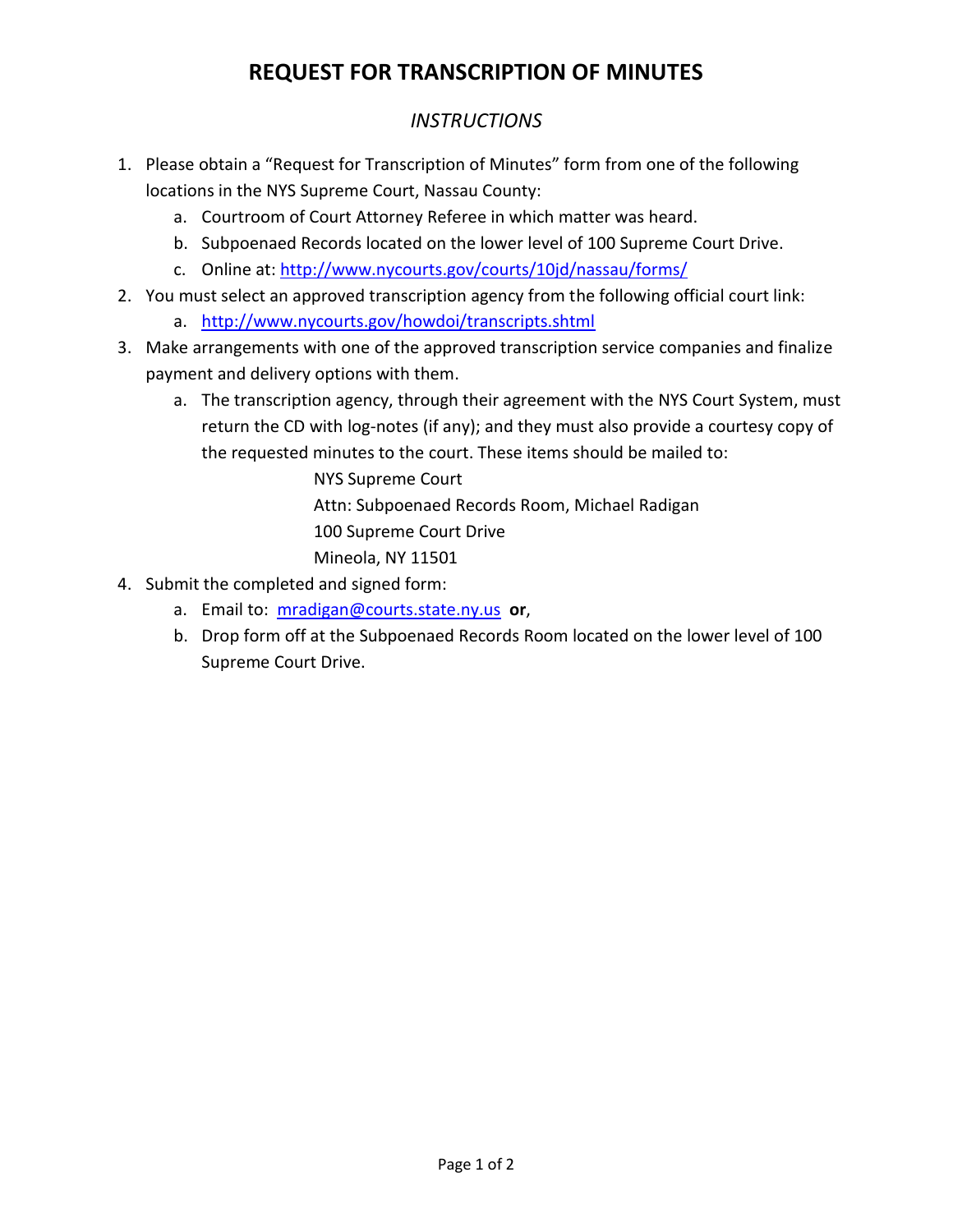# **REQUEST FOR TRANSCRIPTION OF MINUTES**

### *INSTRUCTIONS*

- 1. Please obtain a "Request for Transcription of Minutes" form from one of the following locations in the NYS Supreme Court, Nassau County:
	- a. Courtroom of Court Attorney Referee in which matter was heard.
	- b. Subpoenaed Records located on the lower level of 100 Supreme Court Drive.
	- c. Online at:<http://www.nycourts.gov/courts/10jd/nassau/forms/>
- 2. You must select an approved transcription agency from the following official court link:
	- a. <http://www.nycourts.gov/howdoi/transcripts.shtml>
- 3. Make arrangements with one of the approved transcription service companies and finalize payment and delivery options with them.
	- a. The transcription agency, through their agreement with the NYS Court System, must return the CD with log-notes (if any); and they must also provide a courtesy copy of the requested minutes to the court. These items should be mailed to:

NYS Supreme Court Attn: Subpoenaed Records Room, Michael Radigan 100 Supreme Court Drive Mineola, NY 11501

- 4. Submit the completed and signed form:
	- a. Email to: [mradigan@courts.state.ny.us](mailto:mradigan@courts.state.ny.us) **or**,
	- b. Drop form off at the Subpoenaed Records Room located on the lower level of 100 Supreme Court Drive.